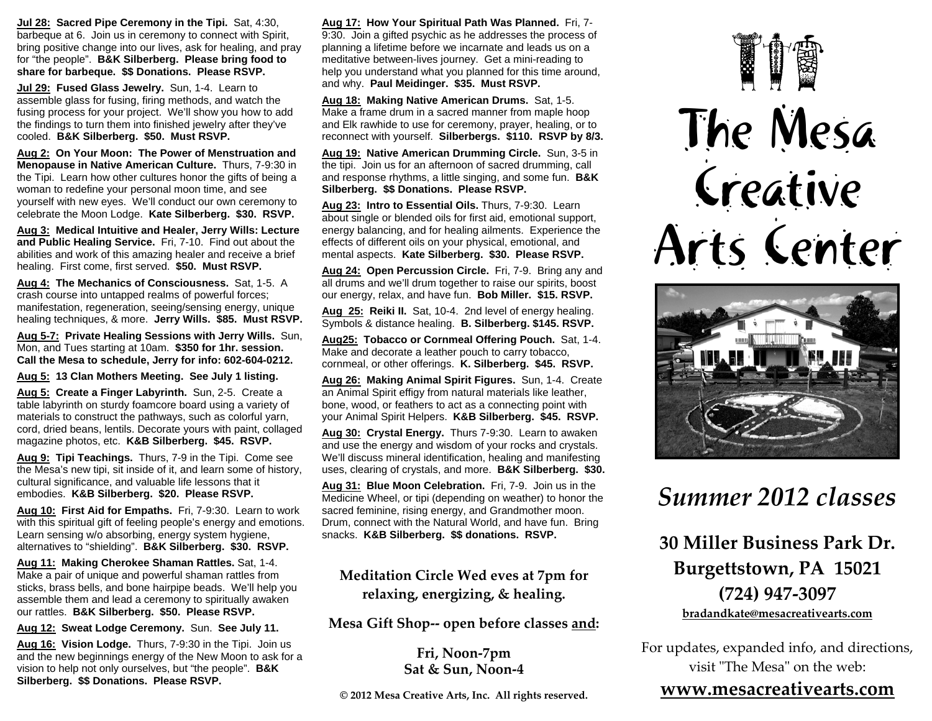**Jul 28: Sacred Pipe Ceremony in the Tipi.** Sat, 4:30, barbeque at 6. Join us in ceremony to connect with Spirit, bring positive change into our lives, ask for healing, and pray for "the people". **B&K Silberberg. Please bring food to share for barbeque. \$\$ Donations. Please RSVP.** 

**Jul 29: Fused Glass Jewelry.** Sun, 1-4. Learn to assemble glass for fusing, firing methods, and watch the fusing process for your project. We'll show you how to add the findings to turn them into finished jewelry after they've cooled. **B&K Silberberg. \$50. Must RSVP.** 

**Aug 2: On Your Moon: The Power of Menstruation and Menopause in Native American Culture.** Thurs, 7-9:30 in the Tipi. Learn how other cultures honor the gifts of being a woman to redefine your personal moon time, and see yourself with new eyes. We'll conduct our own ceremony to celebrate the Moon Lodge. **Kate Silberberg. \$30. RSVP.**

**Aug 3: Medical Intuitive and Healer, Jerry Wills: Lecture and Public Healing Service.** Fri, 7-10. Find out about the abilities and work of this amazing healer and receive a brief healing. First come, first served. **\$50. Must RSVP.**

**Aug 4: The Mechanics of Consciousness.** Sat, 1-5. A crash course into untapped realms of powerful forces; manifestation, regeneration, seeing/sensing energy, unique healing techniques, & more. **Jerry Wills. \$85. Must RSVP.**

**Aug 5-7: Private Healing Sessions with Jerry Wills.** Sun, Mon, and Tues starting at 10am. **\$350 for 1hr. session. Call the Mesa to schedule, Jerry for info: 602-604-0212.** 

**Aug 5: 13 Clan Mothers Meeting. See July 1 listing.** 

**Aug 5: Create a Finger Labyrinth.** Sun, 2-5. Create a table labyrinth on sturdy foamcore board using a variety of materials to construct the pathways, such as colorful yarn, cord, dried beans, lentils. Decorate yours with paint, collaged magazine photos, etc. **K&B Silberberg. \$45. RSVP.**

**Aug 9: Tipi Teachings.** Thurs, 7-9 in the Tipi. Come see the Mesa's new tipi, sit inside of it, and learn some of history, cultural significance, and valuable life lessons that it embodies. **K&B Silberberg. \$20. Please RSVP.**

**Aug 10: First Aid for Empaths.** Fri, 7-9:30. Learn to work with this spiritual gift of feeling people's energy and emotions. Learn sensing w/o absorbing, energy system hygiene, alternatives to "shielding". **B&K Silberberg. \$30. RSVP.** 

**Aug 11: Making Cherokee Shaman Rattles.** Sat, 1-4. Make a pair of unique and powerful shaman rattles from sticks, brass bells, and bone hairpipe beads. We'll help you assemble them and lead a ceremony to spiritually awaken our rattles. **B&K Silberberg. \$50. Please RSVP.**

**Aug 12: Sweat Lodge Ceremony.** Sun. **See July 11.**

**Aug 16: Vision Lodge.** Thurs, 7-9:30 in the Tipi. Join us and the new beginnings energy of the New Moon to ask for a vision to help not only ourselves, but "the people". **B&K Silberberg. \$\$ Donations. Please RSVP.**

**Aug 17: How Your Spiritual Path Was Planned.** Fri, 7- 9:30. Join a gifted psychic as he addresses the process of planning a lifetime before we incarnate and leads us on a meditative between-lives journey. Get a mini-reading to help you understand what you planned for this time around, and why. **Paul Meidinger. \$35. Must RSVP.**

**Aug 18: Making Native American Drums.** Sat, 1-5. Make a frame drum in a sacred manner from maple hoop and Elk rawhide to use for ceremony, prayer, healing, or to reconnect with yourself. **Silberbergs. \$110. RSVP by 8/3.**

**Aug 19: Native American Drumming Circle.** Sun, 3-5 in the tipi. Join us for an afternoon of sacred drumming, call and response rhythms, a little singing, and some fun. **B&K Silberberg. \$\$ Donations. Please RSVP.** 

**Aug 23: Intro to Essential Oils.** Thurs, 7-9:30. Learn about single or blended oils for first aid, emotional support, energy balancing, and for healing ailments. Experience the effects of different oils on your physical, emotional, and mental aspects. **Kate Silberberg. \$30. Please RSVP.**

**Aug 24: Open Percussion Circle.** Fri, 7-9. Bring any and all drums and we'll drum together to raise our spirits, boost our energy, relax, and have fun. **Bob Miller. \$15. RSVP.**

**Aug 25: Reiki II.** Sat, 10-4. 2nd level of energy healing. Symbols & distance healing. **B. Silberberg. \$145. RSVP.** 

**Aug25: Tobacco or Cornmeal Offering Pouch.** Sat, 1-4. Make and decorate a leather pouch to carry tobacco, cornmeal, or other offerings. **K. Silberberg. \$45. RSVP.** 

**Aug 26: Making Animal Spirit Figures.** Sun, 1-4. Create an Animal Spirit effigy from natural materials like leather, bone, wood, or feathers to act as a connecting point with your Animal Spirit Helpers. **K&B Silberberg. \$45. RSVP.** 

**Aug 30: Crystal Energy.** Thurs 7-9:30. Learn to awaken and use the energy and wisdom of your rocks and crystals. We'll discuss mineral identification, healing and manifesting uses, clearing of crystals, and more. **B&K Silberberg. \$30.** 

**Aug 31: Blue Moon Celebration.** Fri, 7-9. Join us in the Medicine Wheel, or tipi (depending on weather) to honor the sacred feminine, rising energy, and Grandmother moon. Drum, connect with the Natural World, and have fun. Bring snacks. **K&B Silberberg. \$\$ donations. RSVP.**

## **Meditation Circle Wed eves at 7pm for relaxing, energizing, & healing.**

**Mesa Gift Shop‐‐ open before classes and:**

**Fri, Noon‐7pm Sat & Sun, Noon‐4**

**© 2012 Mesa Creative Arts, Inc. All rights reserved.**

## The Mesa Creative Arts Center



## *Summer 2012 classes*

**30 Miller Business Park Dr. Burgettstown, PA 15021 (724) 947 ‐3097bradandkate@mesacreativearts.com**

For updates, expanded info, and directions, visit "The Mesa" on the web:

## **www.mesacreativearts.com**